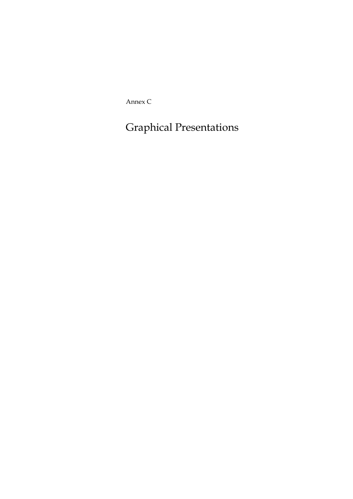Annex C

Graphical Presentations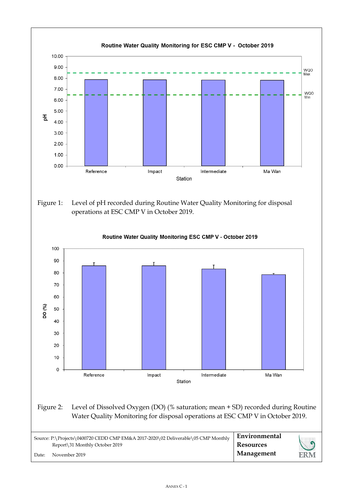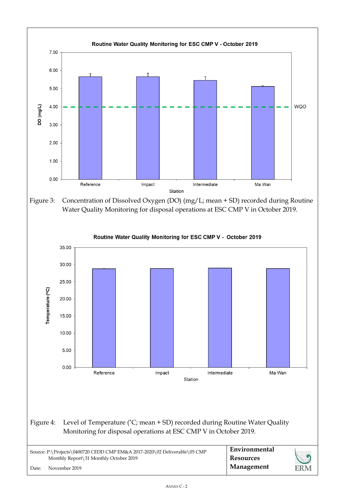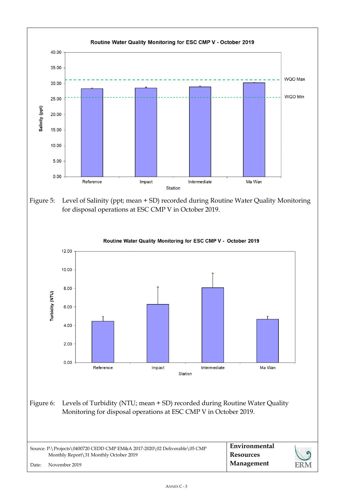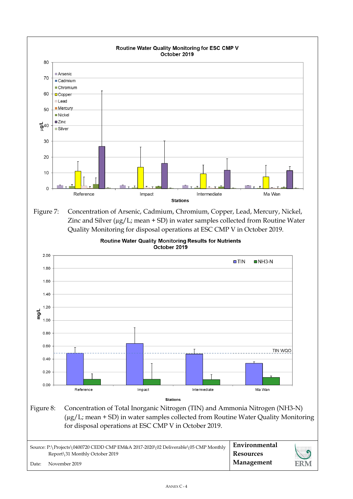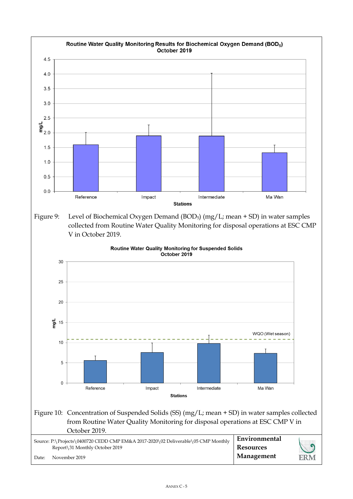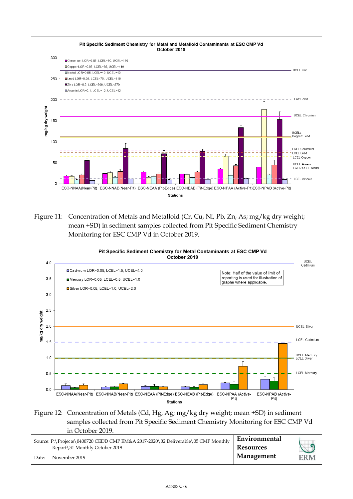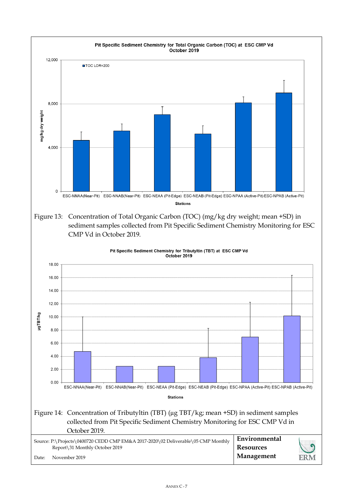